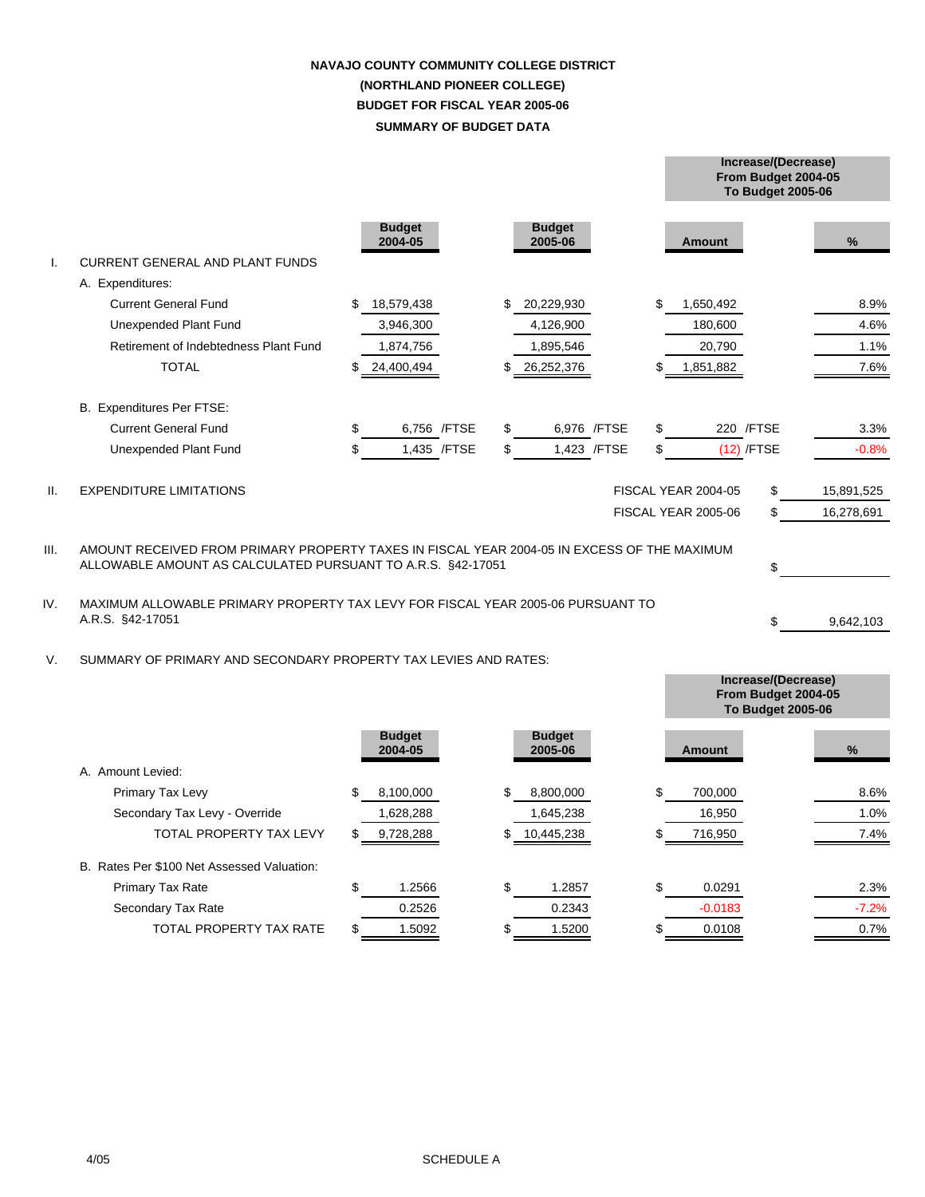## **SUMMARY OF BUDGET DATA NAVAJO COUNTY COMMUNITY COLLEGE DISTRICT (NORTHLAND PIONEER COLLEGE) BUDGET FOR FISCAL YEAR 2005-06**

|                 |                                                                                                                                                                  |    |                          |              |     |                          |              |    |                            | <b>To Budget 2005-06</b> |            |
|-----------------|------------------------------------------------------------------------------------------------------------------------------------------------------------------|----|--------------------------|--------------|-----|--------------------------|--------------|----|----------------------------|--------------------------|------------|
|                 | <b>CURRENT GENERAL AND PLANT FUNDS</b>                                                                                                                           |    | <b>Budget</b><br>2004-05 |              |     | <b>Budget</b><br>2005-06 |              |    | <b>Amount</b>              |                          | %          |
|                 | A. Expenditures:                                                                                                                                                 |    |                          |              |     |                          |              |    |                            |                          |            |
|                 | <b>Current General Fund</b>                                                                                                                                      | \$ | 18,579,438               |              | \$  | 20,229,930               |              | \$ | 1,650,492                  |                          | 8.9%       |
|                 | Unexpended Plant Fund                                                                                                                                            |    | 3,946,300                |              |     | 4,126,900                |              |    | 180,600                    |                          | 4.6%       |
|                 | Retirement of Indebtedness Plant Fund                                                                                                                            |    | 1,874,756                |              |     | 1,895,546                |              |    | 20,790                     |                          | 1.1%       |
|                 | <b>TOTAL</b>                                                                                                                                                     |    | 24,400,494               |              |     | 26,252,376               |              |    | 1,851,882                  |                          | 7.6%       |
|                 | B. Expenditures Per FTSE:                                                                                                                                        |    |                          |              |     |                          |              |    |                            |                          |            |
|                 | <b>Current General Fund</b>                                                                                                                                      | \$ |                          | 6,756 /FTSE  | \$  |                          | 6,976 /FTSE  | \$ |                            | 220 / FTSE               | 3.3%       |
|                 | Unexpended Plant Fund                                                                                                                                            |    |                          | 1,435 / FTSE | \$. |                          | 1,423 / FTSE | \$ |                            | $(12)$ /FTSE             | $-0.8%$    |
| $\mathbf{II}$ . | <b>EXPENDITURE LIMITATIONS</b>                                                                                                                                   |    |                          |              |     |                          |              |    | <b>FISCAL YEAR 2004-05</b> | \$                       | 15,891,525 |
|                 |                                                                                                                                                                  |    |                          |              |     |                          |              |    | FISCAL YEAR 2005-06        | \$                       | 16,278,691 |
| III.            | AMOUNT RECEIVED FROM PRIMARY PROPERTY TAXES IN FISCAL YEAR 2004-05 IN EXCESS OF THE MAXIMUM<br>ALLOWABLE AMOUNT AS CALCULATED PURSUANT TO A.R.S. §42-17051<br>\$ |    |                          |              |     |                          |              |    |                            |                          |            |
| IV.             | MAXIMUM ALLOWABLE PRIMARY PROPERTY TAX LEVY FOR FISCAL YEAR 2005-06 PURSUANT TO<br>A.R.S. §42-17051                                                              |    |                          |              |     |                          |              |    |                            | \$                       | 9,642,103  |
| V.              | SUMMARY OF PRIMARY AND SECONDARY PROPERTY TAX LEVIES AND RATES:                                                                                                  |    |                          |              |     |                          |              |    |                            | Increase/(Decrease)      |            |

|                                            |                          |                          |     |               | <b>To Budget 2005-06</b> |
|--------------------------------------------|--------------------------|--------------------------|-----|---------------|--------------------------|
|                                            | <b>Budget</b><br>2004-05 | <b>Budget</b><br>2005-06 |     | <b>Amount</b> | %                        |
| A. Amount Levied:                          |                          |                          |     |               |                          |
| Primary Tax Levy                           | \$<br>8,100,000          | \$<br>8,800,000          | \$  | 700,000       | 8.6%                     |
| Secondary Tax Levy - Override              | 1,628,288                | 1,645,238                |     | 16,950        | 1.0%                     |
| <b>TOTAL PROPERTY TAX LEVY</b>             | \$<br>9,728,288          | 10,445,238               |     | 716,950       | 7.4%                     |
| B. Rates Per \$100 Net Assessed Valuation: |                          |                          |     |               |                          |
| <b>Primary Tax Rate</b>                    | \$<br>1.2566             | \$<br>1.2857             | \$. | 0.0291        | 2.3%                     |
| Secondary Tax Rate                         | 0.2526                   | 0.2343                   |     | $-0.0183$     | $-7.2%$                  |
| <b>TOTAL PROPERTY TAX RATE</b>             | \$<br>1.5092             | 1.5200                   |     | 0.0108        | 0.7%                     |

**From Budget 2004-05**

**From Budget 2004-05**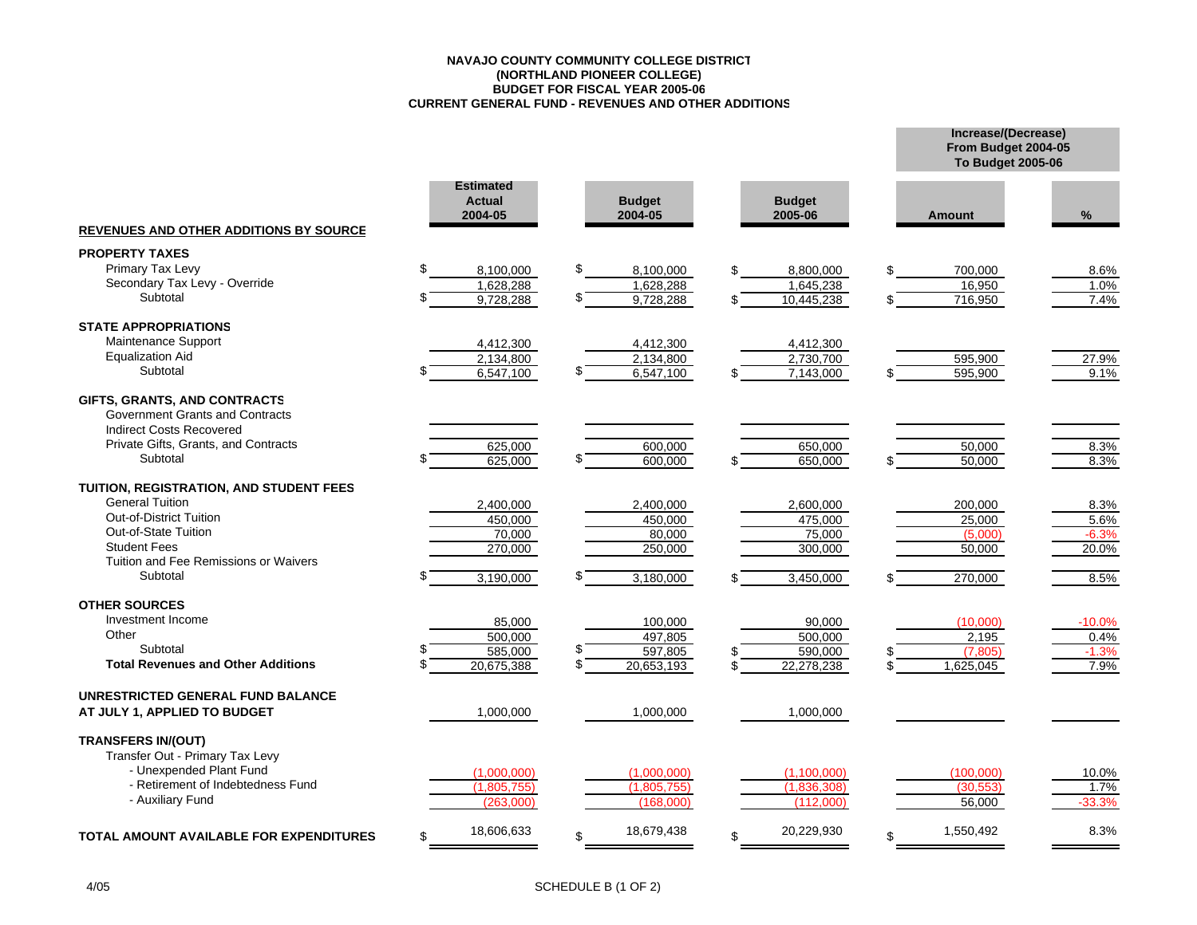#### **NAVAJO COUNTY COMMUNITY COLLEGE DISTRICT(NORTHLAND PIONEER COLLEGE) BUDGET FOR FISCAL YEAR 2005-06 CURRENT GENERAL FUND - REVENUES AND OTHER ADDITIONS**

|                                                                                                    |                                              |                          |                          | From Budget 2004-05<br><b>To Budget 2005-06</b> |          |  |  |
|----------------------------------------------------------------------------------------------------|----------------------------------------------|--------------------------|--------------------------|-------------------------------------------------|----------|--|--|
| <b>REVENUES AND OTHER ADDITIONS BY SOURCE</b>                                                      | <b>Estimated</b><br><b>Actual</b><br>2004-05 | <b>Budget</b><br>2004-05 | <b>Budget</b><br>2005-06 | <b>Amount</b>                                   | %        |  |  |
| <b>PROPERTY TAXES</b>                                                                              |                                              |                          |                          |                                                 |          |  |  |
| Primary Tax Levy                                                                                   | \$<br>8,100,000                              | \$<br>8,100,000          | 8,800,000                | \$<br>700,000                                   | 8.6%     |  |  |
| Secondary Tax Levy - Override                                                                      | 1,628,288                                    | 1,628,288                | 1,645,238                | 16,950                                          | 1.0%     |  |  |
| Subtotal                                                                                           | 9,728,288                                    | \$.<br>9,728,288         | 10,445,238               | 716,950                                         | 7.4%     |  |  |
| <b>STATE APPROPRIATIONS</b>                                                                        |                                              |                          |                          |                                                 |          |  |  |
| Maintenance Support                                                                                | 4,412,300                                    | 4,412,300                | 4,412,300                |                                                 |          |  |  |
| <b>Equalization Aid</b>                                                                            | 2,134,800                                    | 2,134,800                | 2,730,700                | 595,900                                         | 27.9%    |  |  |
| Subtotal                                                                                           | 6,547,100                                    | 6,547,100                | 7,143,000                | 595,900                                         | 9.1%     |  |  |
| GIFTS, GRANTS, AND CONTRACTS<br>Government Grants and Contracts<br><b>Indirect Costs Recovered</b> |                                              |                          |                          |                                                 |          |  |  |
| Private Gifts, Grants, and Contracts                                                               | 625,000                                      | 600,000                  | 650,000                  | 50,000                                          | 8.3%     |  |  |
| Subtotal                                                                                           | 625,000                                      | 600,000                  | 650,000                  | $\overline{50,000}$                             | 8.3%     |  |  |
| TUITION, REGISTRATION, AND STUDENT FEES                                                            |                                              |                          |                          |                                                 |          |  |  |
| <b>General Tuition</b>                                                                             | 2,400,000                                    | 2,400,000                | 2,600,000                | 200,000                                         | 8.3%     |  |  |
| <b>Out-of-District Tuition</b>                                                                     | 450,000                                      | 450,000                  | 475,000                  | 25,000                                          | 5.6%     |  |  |
| Out-of-State Tuition                                                                               | 70.000                                       | 80.000                   | 75,000                   | (5,000)                                         | $-6.3%$  |  |  |
| <b>Student Fees</b>                                                                                | 270,000                                      | 250,000                  | 300,000                  | 50,000                                          | 20.0%    |  |  |
| Tuition and Fee Remissions or Waivers                                                              |                                              |                          |                          |                                                 |          |  |  |
| Subtotal                                                                                           | 3,190,000                                    | 3,180,000                | 3,450,000                | 270,000                                         | 8.5%     |  |  |
| <b>OTHER SOURCES</b>                                                                               |                                              |                          |                          |                                                 |          |  |  |
| Investment Income                                                                                  | 85,000                                       | 100,000                  | 90,000                   | (10,000)                                        | $-10.0%$ |  |  |
| Other                                                                                              | 500,000                                      | 497,805                  | 500,000                  | 2,195                                           | 0.4%     |  |  |
| Subtotal                                                                                           | 585,000                                      | 597,805                  | 590,000                  | (7, 805)                                        | $-1.3%$  |  |  |
| <b>Total Revenues and Other Additions</b>                                                          | 20,675,388                                   | \$<br>20,653,193         | 22,278,238               | 1,625,045                                       | 7.9%     |  |  |
| UNRESTRICTED GENERAL FUND BALANCE                                                                  |                                              |                          |                          |                                                 |          |  |  |
| AT JULY 1, APPLIED TO BUDGET                                                                       | 1,000,000                                    | 1,000,000                | 1,000,000                |                                                 |          |  |  |
| <b>TRANSFERS IN/(OUT)</b><br>Transfer Out - Primary Tax Levy<br>- Unexpended Plant Fund            | (1.000.000)                                  | (1.000.000)              | (1, 100, 000)            | (100.000)                                       | 10.0%    |  |  |
| - Retirement of Indebtedness Fund                                                                  | (1,805,755)                                  | (1,805,755)              | (1,836,308)              | (30, 553)                                       | 1.7%     |  |  |
| - Auxiliary Fund                                                                                   | (263,000)                                    | (168,000)                | (112,000)                | 56,000                                          | $-33.3%$ |  |  |
|                                                                                                    |                                              |                          |                          |                                                 |          |  |  |
| <b>TOTAL AMOUNT AVAILABLE FOR EXPENDITURES</b>                                                     | 18,606,633<br>\$                             | 18,679,438<br>\$         | 20,229,930               | 1,550,492<br>\$                                 | 8.3%     |  |  |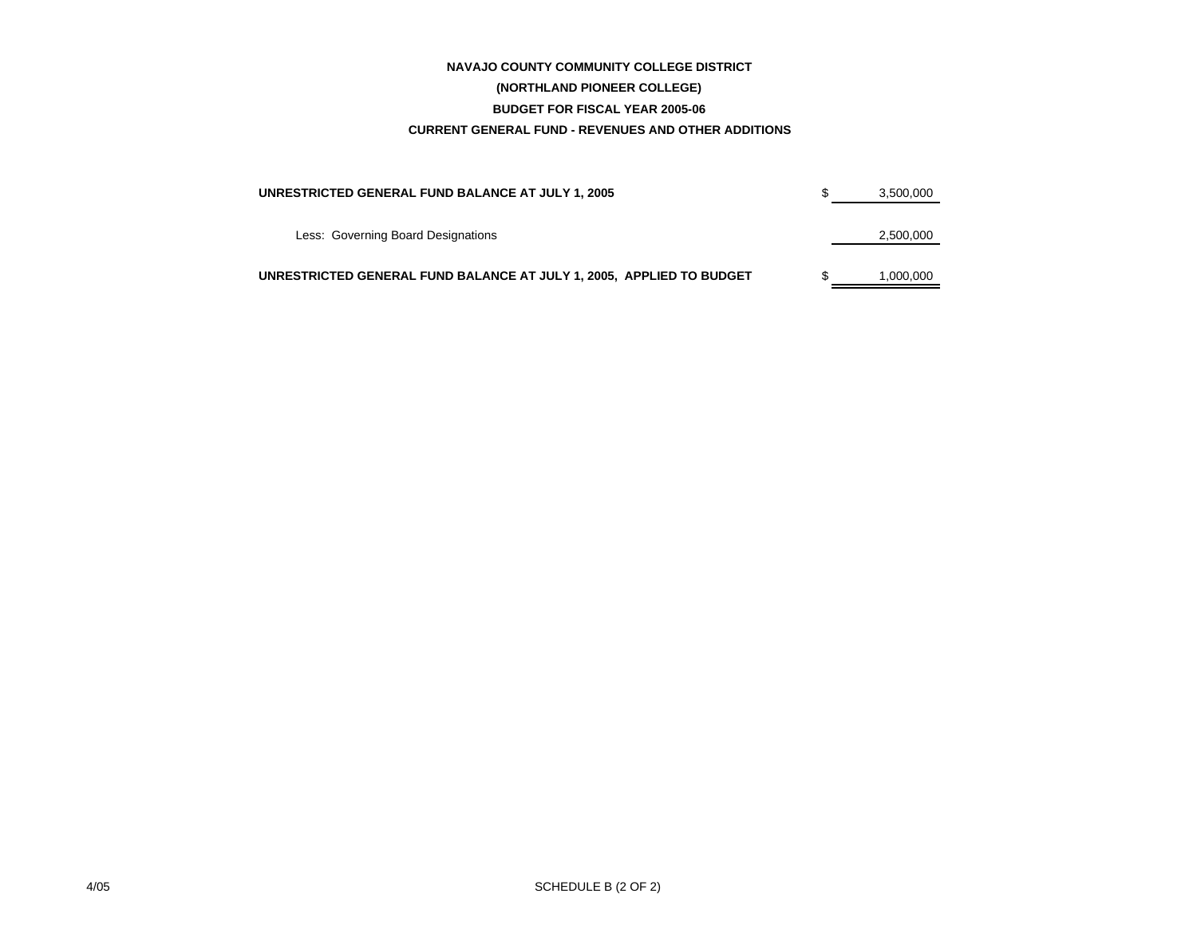## **CURRENT GENERAL FUND - REVENUES AND OTHER ADDITIONS NAVAJO COUNTY COMMUNITY COLLEGE DISTRICT (NORTHLAND PIONEER COLLEGE) BUDGET FOR FISCAL YEAR 2005-06**

| UNRESTRICTED GENERAL FUND BALANCE AT JULY 1, 2005                    | 3,500,000 |
|----------------------------------------------------------------------|-----------|
|                                                                      |           |
| Less: Governing Board Designations                                   | 2,500,000 |
| UNRESTRICTED GENERAL FUND BALANCE AT JULY 1, 2005, APPLIED TO BUDGET | 1.000.000 |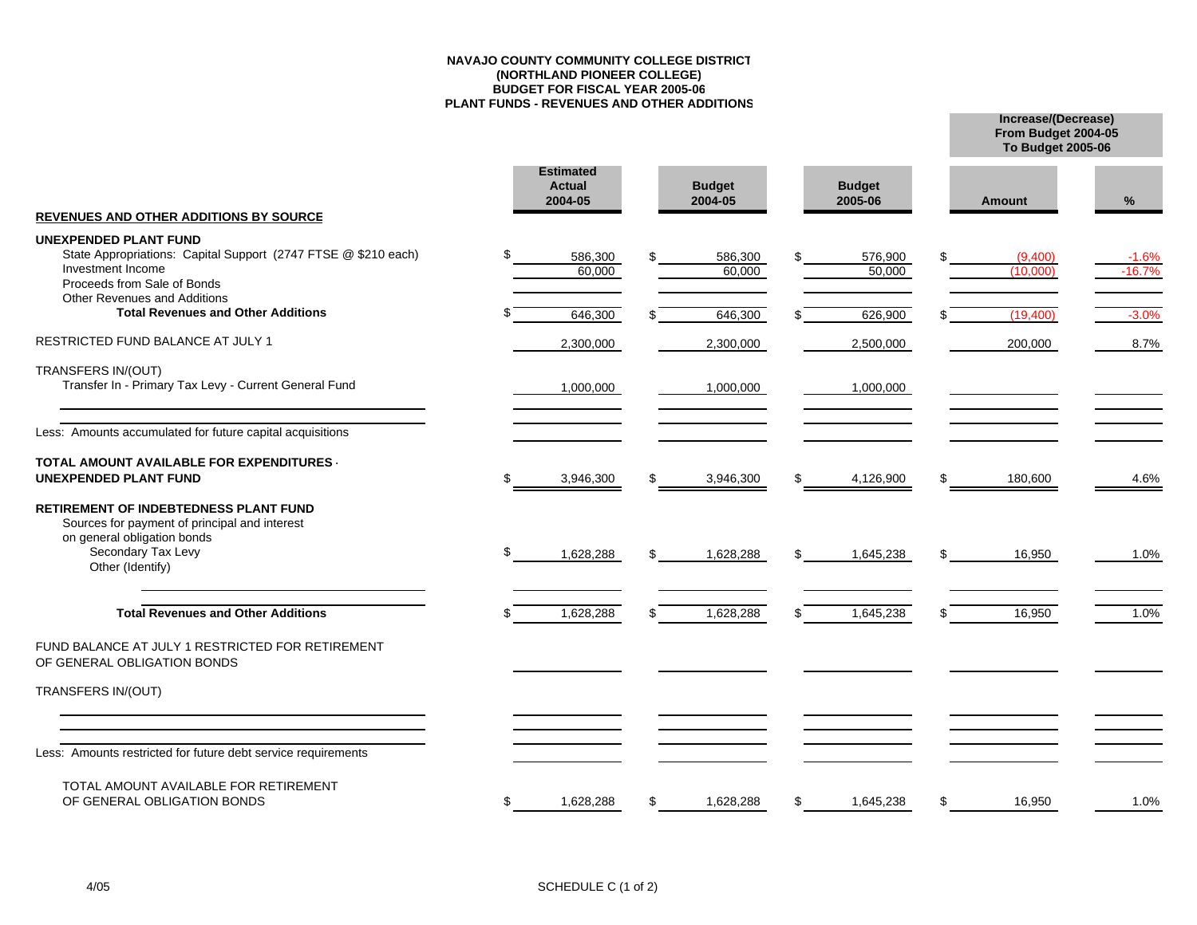#### **NAVAJO COUNTY COMMUNITY COLLEGE DISTRICT(NORTHLAND PIONEER COLLEGE) BUDGET FOR FISCAL YEAR 2005-06 PLANT FUNDS - REVENUES AND OTHER ADDITIONS**

**Increase/(Decrease) To Budget 2005-06**

**From Budget 2004-05**

|                                                                                                                                                                        |    | <b>Estimated</b><br><b>Actual</b><br>2004-05 | <b>Budget</b><br>2004-05 |     | <b>Budget</b><br>2005-06 |     | <b>Amount</b>       | %                   |
|------------------------------------------------------------------------------------------------------------------------------------------------------------------------|----|----------------------------------------------|--------------------------|-----|--------------------------|-----|---------------------|---------------------|
| <b>REVENUES AND OTHER ADDITIONS BY SOURCE</b><br>UNEXPENDED PLANT FUND                                                                                                 |    |                                              |                          |     |                          |     |                     |                     |
| State Appropriations: Capital Support (2747 FTSE @ \$210 each)<br>Investment Income<br>Proceeds from Sale of Bonds                                                     |    | 586,300<br>60.000                            | 586,300<br>60.000        | \$. | 576,900<br>50,000        |     | (9,400)<br>(10.000) | $-1.6%$<br>$-16.7%$ |
| <b>Other Revenues and Additions</b><br><b>Total Revenues and Other Additions</b>                                                                                       |    | 646,300                                      | 646,300                  |     | 626,900                  |     | (19,400)            | $-3.0%$             |
| RESTRICTED FUND BALANCE AT JULY 1                                                                                                                                      |    | 2,300,000                                    | 2,300,000                |     | 2,500,000                |     | 200,000             | 8.7%                |
| TRANSFERS IN/(OUT)<br>Transfer In - Primary Tax Levy - Current General Fund                                                                                            |    | 1,000,000                                    | 1,000,000                |     | 1,000,000                |     |                     |                     |
| Less: Amounts accumulated for future capital acquisitions                                                                                                              |    |                                              |                          |     |                          |     |                     |                     |
| TOTAL AMOUNT AVAILABLE FOR EXPENDITURES .<br><b>UNEXPENDED PLANT FUND</b>                                                                                              | S  | 3,946,300                                    | 3,946,300                | \$  | 4,126,900                | \$. | 180,600             | 4.6%                |
| <b>RETIREMENT OF INDEBTEDNESS PLANT FUND</b><br>Sources for payment of principal and interest<br>on general obligation bonds<br>Secondary Tax Levy<br>Other (Identify) | \$ | 1,628,288                                    | 1,628,288                | \$  | 1,645,238                | £.  | 16,950              | 1.0%                |
| <b>Total Revenues and Other Additions</b>                                                                                                                              |    | 1,628,288                                    | 1,628,288                | \$  | 1,645,238                |     | 16,950              | 1.0%                |
| FUND BALANCE AT JULY 1 RESTRICTED FOR RETIREMENT<br>OF GENERAL OBLIGATION BONDS                                                                                        |    |                                              |                          |     |                          |     |                     |                     |
| TRANSFERS IN/(OUT)                                                                                                                                                     |    |                                              |                          |     |                          |     |                     |                     |
|                                                                                                                                                                        |    |                                              |                          |     |                          |     |                     |                     |
| Less: Amounts restricted for future debt service requirements                                                                                                          |    |                                              |                          |     |                          |     |                     |                     |
| TOTAL AMOUNT AVAILABLE FOR RETIREMENT<br>OF GENERAL OBLIGATION BONDS                                                                                                   | \$ | 1,628,288                                    | 1,628,288                | \$  | 1,645,238                | S   | 16,950              | 1.0%                |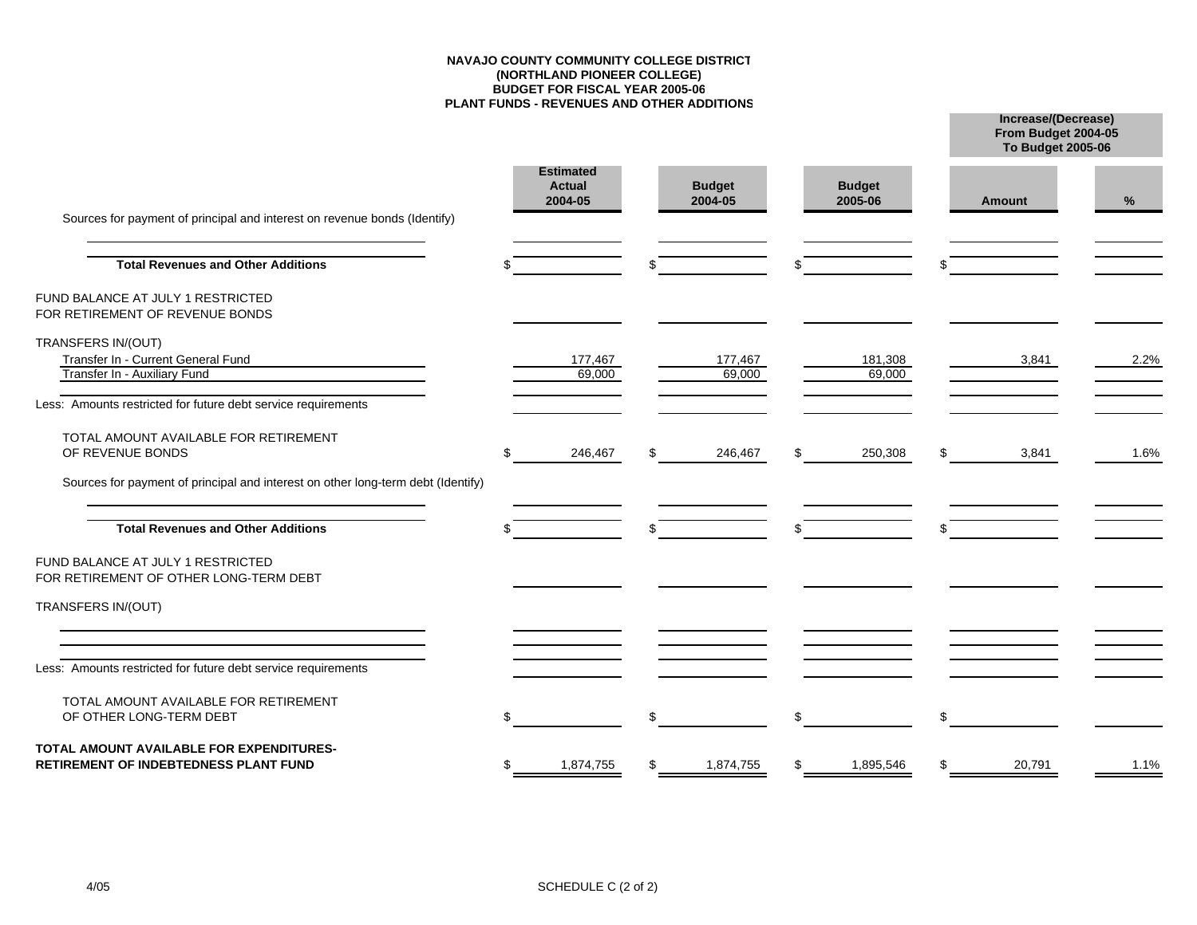#### **NAVAJO COUNTY COMMUNITY COLLEGE DISTRICT(NORTHLAND PIONEER COLLEGE) BUDGET FOR FISCAL YEAR 2005-06 PLANT FUNDS - REVENUES AND OTHER ADDITIONS**

**Increase/(Decrease)**

**From Budget 2004-05**

| Sources for payment of principal and interest on revenue bonds (Identify)                |  |                                              |    |                          |    |                          | <b>To Budget 2005-06</b> |               |      |
|------------------------------------------------------------------------------------------|--|----------------------------------------------|----|--------------------------|----|--------------------------|--------------------------|---------------|------|
|                                                                                          |  | <b>Estimated</b><br><b>Actual</b><br>2004-05 |    | <b>Budget</b><br>2004-05 |    | <b>Budget</b><br>2005-06 |                          | <b>Amount</b> | %    |
| <b>Total Revenues and Other Additions</b>                                                |  |                                              |    |                          | \$ |                          |                          |               |      |
| FUND BALANCE AT JULY 1 RESTRICTED<br>FOR RETIREMENT OF REVENUE BONDS                     |  |                                              |    |                          |    |                          |                          |               |      |
| TRANSFERS IN/(OUT)<br>Transfer In - Current General Fund<br>Transfer In - Auxiliary Fund |  | 177,467<br>69,000                            |    | 177,467<br>69,000        |    | 181,308<br>69,000        |                          | 3,841         | 2.2% |
| Less: Amounts restricted for future debt service requirements                            |  |                                              |    |                          |    |                          |                          |               |      |
| TOTAL AMOUNT AVAILABLE FOR RETIREMENT<br>OF REVENUE BONDS                                |  | 246,467                                      |    | 246,467                  | \$ | 250,308                  | \$                       | 3,841         | 1.6% |
| Sources for payment of principal and interest on other long-term debt (Identify)         |  |                                              |    |                          |    |                          |                          |               |      |
| <b>Total Revenues and Other Additions</b>                                                |  |                                              |    |                          |    |                          |                          |               |      |
| FUND BALANCE AT JULY 1 RESTRICTED<br>FOR RETIREMENT OF OTHER LONG-TERM DEBT              |  |                                              |    |                          |    |                          |                          |               |      |
| TRANSFERS IN/(OUT)                                                                       |  |                                              |    |                          |    |                          |                          |               |      |
| Less: Amounts restricted for future debt service requirements                            |  |                                              |    |                          |    |                          |                          |               |      |
| TOTAL AMOUNT AVAILABLE FOR RETIREMENT<br>OF OTHER LONG-TERM DEBT                         |  |                                              | \$ |                          | \$ |                          | \$                       |               |      |
| TOTAL AMOUNT AVAILABLE FOR EXPENDITURES-<br>RETIREMENT OF INDEBTEDNESS PLANT FUND        |  | 1,874,755                                    |    | 1,874,755                | \$ | 1,895,546                | \$                       | 20,791        | 1.1% |
|                                                                                          |  |                                              |    |                          |    |                          |                          |               |      |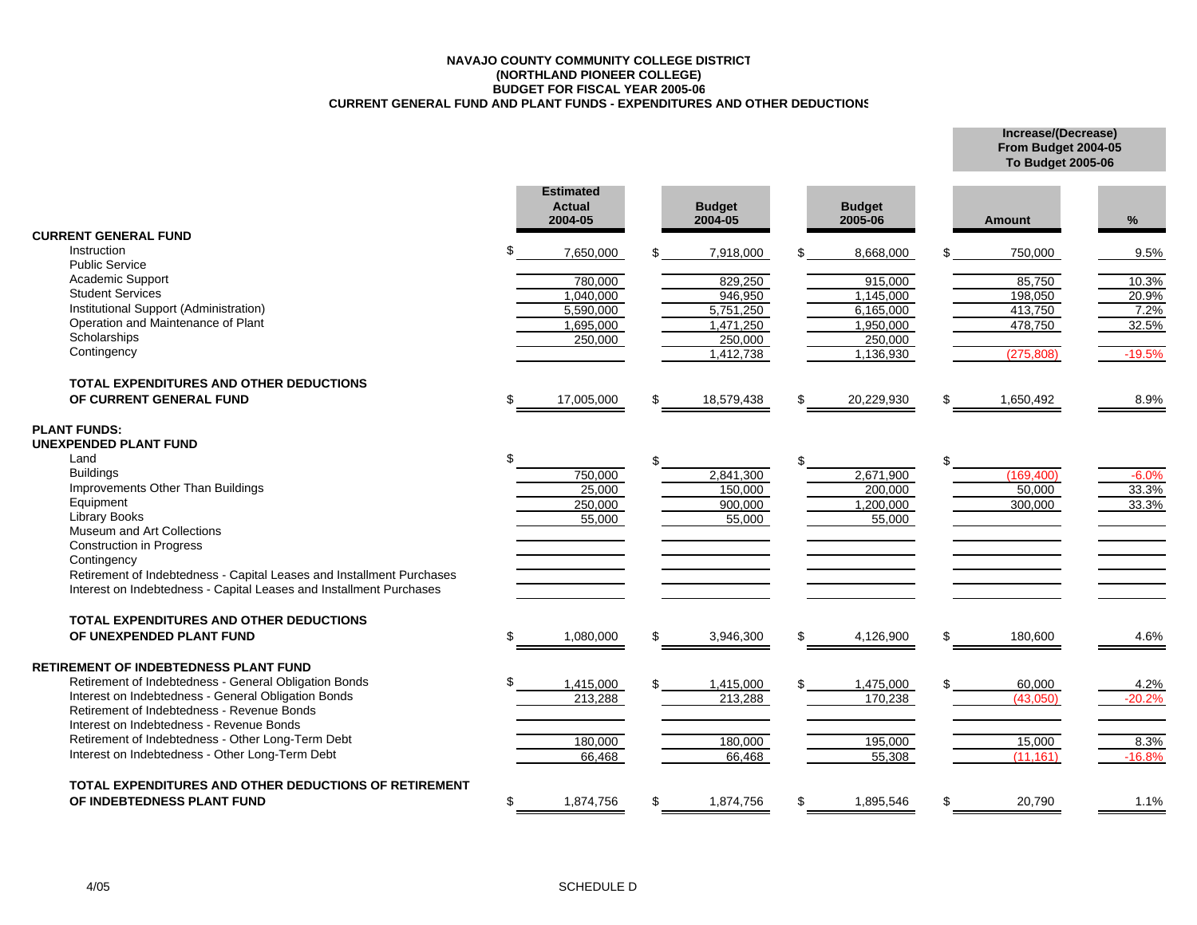#### **NAVAJO COUNTY COMMUNITY COLLEGE DISTRICT(NORTHLAND PIONEER COLLEGE) BUDGET FOR FISCAL YEAR 2005-06 CURRENT GENERAL FUND AND PLANT FUNDS - EXPENDITURES AND OTHER DEDUCTIONS**

**Increase/(Decrease) From Budget 2004-05 To Budget 2005-06**

|                                                                                      |     | <b>Estimated</b><br><b>Actual</b><br>2004-05 |     | <b>Budget</b><br>2004-05 |    | <b>Budget</b><br>2005-06 | <b>Amount</b>      | %                |
|--------------------------------------------------------------------------------------|-----|----------------------------------------------|-----|--------------------------|----|--------------------------|--------------------|------------------|
| <b>CURRENT GENERAL FUND</b>                                                          |     |                                              |     |                          |    |                          |                    |                  |
| Instruction<br><b>Public Service</b>                                                 | \$  | 7,650,000                                    |     | 7,918,000                |    | 8,668,000                | 750,000            | 9.5%             |
| Academic Support                                                                     |     | 780,000                                      |     | 829,250                  |    | 915,000                  | 85,750             |                  |
| <b>Student Services</b>                                                              |     | 1,040,000                                    |     | 946,950                  |    | 1,145,000                | 198,050            | 10.3%<br>20.9%   |
| Institutional Support (Administration)                                               |     | 5,590,000                                    |     | 5,751,250                |    | 6,165,000                | 413,750            | 7.2%             |
| Operation and Maintenance of Plant                                                   |     | 1,695,000                                    |     | 1,471,250                |    | 1,950,000                | 478,750            | 32.5%            |
| Scholarships                                                                         |     | 250,000                                      |     | 250,000                  |    | 250,000                  |                    |                  |
| Contingency                                                                          |     |                                              |     | 1,412,738                |    | 1,136,930                | (275, 808)         | $-19.5%$         |
| <b>TOTAL EXPENDITURES AND OTHER DEDUCTIONS</b>                                       |     |                                              |     |                          |    |                          |                    |                  |
| OF CURRENT GENERAL FUND                                                              | \$. | 17,005,000                                   | \$. | 18,579,438               | £. | 20,229,930               | \$<br>1,650,492    | 8.9%             |
| <b>PLANT FUNDS:</b>                                                                  |     |                                              |     |                          |    |                          |                    |                  |
| UNEXPENDED PLANT FUND                                                                |     |                                              |     |                          |    |                          |                    |                  |
| Land                                                                                 |     |                                              | \$. |                          | £. |                          | \$                 |                  |
| <b>Buildings</b>                                                                     |     | 750,000                                      |     | 2,841,300                |    | 2,671,900                | (169, 400)         | $-6.0%$          |
| Improvements Other Than Buildings                                                    |     | 25,000                                       |     | 150,000                  |    | 200,000                  | 50,000             | 33.3%            |
| Equipment                                                                            |     | 250,000                                      |     | 900,000                  |    | 1,200,000                | 300,000            | 33.3%            |
| <b>Library Books</b>                                                                 |     | 55,000                                       |     | 55,000                   |    | 55,000                   |                    |                  |
| Museum and Art Collections                                                           |     |                                              |     |                          |    |                          |                    |                  |
| <b>Construction in Progress</b>                                                      |     |                                              |     |                          |    |                          |                    |                  |
| Contingency<br>Retirement of Indebtedness - Capital Leases and Installment Purchases |     |                                              |     |                          |    |                          |                    |                  |
| Interest on Indebtedness - Capital Leases and Installment Purchases                  |     |                                              |     |                          |    |                          |                    |                  |
| TOTAL EXPENDITURES AND OTHER DEDUCTIONS                                              |     |                                              |     |                          |    |                          |                    |                  |
| OF UNEXPENDED PLANT FUND                                                             | \$  | 1,080,000                                    | \$. | 3,946,300                | \$ | 4,126,900                | \$<br>180,600      | 4.6%             |
| RETIREMENT OF INDEBTEDNESS PLANT FUND                                                |     |                                              |     |                          |    |                          |                    |                  |
| Retirement of Indebtedness - General Obligation Bonds                                |     |                                              |     |                          |    |                          |                    |                  |
| Interest on Indebtedness - General Obligation Bonds                                  |     | 1,415,000<br>213,288                         |     | 1,415,000<br>213,288     |    | 1,475,000<br>170,238     | 60,000<br>(43,050) | 4.2%<br>$-20.2%$ |
| Retirement of Indebtedness - Revenue Bonds                                           |     |                                              |     |                          |    |                          |                    |                  |
| Interest on Indebtedness - Revenue Bonds                                             |     |                                              |     |                          |    |                          |                    |                  |
| Retirement of Indebtedness - Other Long-Term Debt                                    |     | 180,000                                      |     | 180,000                  |    | 195,000                  | 15,000             | 8.3%             |
| Interest on Indebtedness - Other Long-Term Debt                                      |     | 66,468                                       |     | 66,468                   |    | 55,308                   | (11, 161)          | $-16.8%$         |
| TOTAL EXPENDITURES AND OTHER DEDUCTIONS OF RETIREMENT                                |     |                                              |     |                          |    |                          |                    |                  |
| OF INDEBTEDNESS PLANT FUND                                                           | \$  | 1,874,756                                    | \$. | 1,874,756                | £. | 1,895,546                | \$<br>20,790       | 1.1%             |
|                                                                                      |     |                                              |     |                          |    |                          |                    |                  |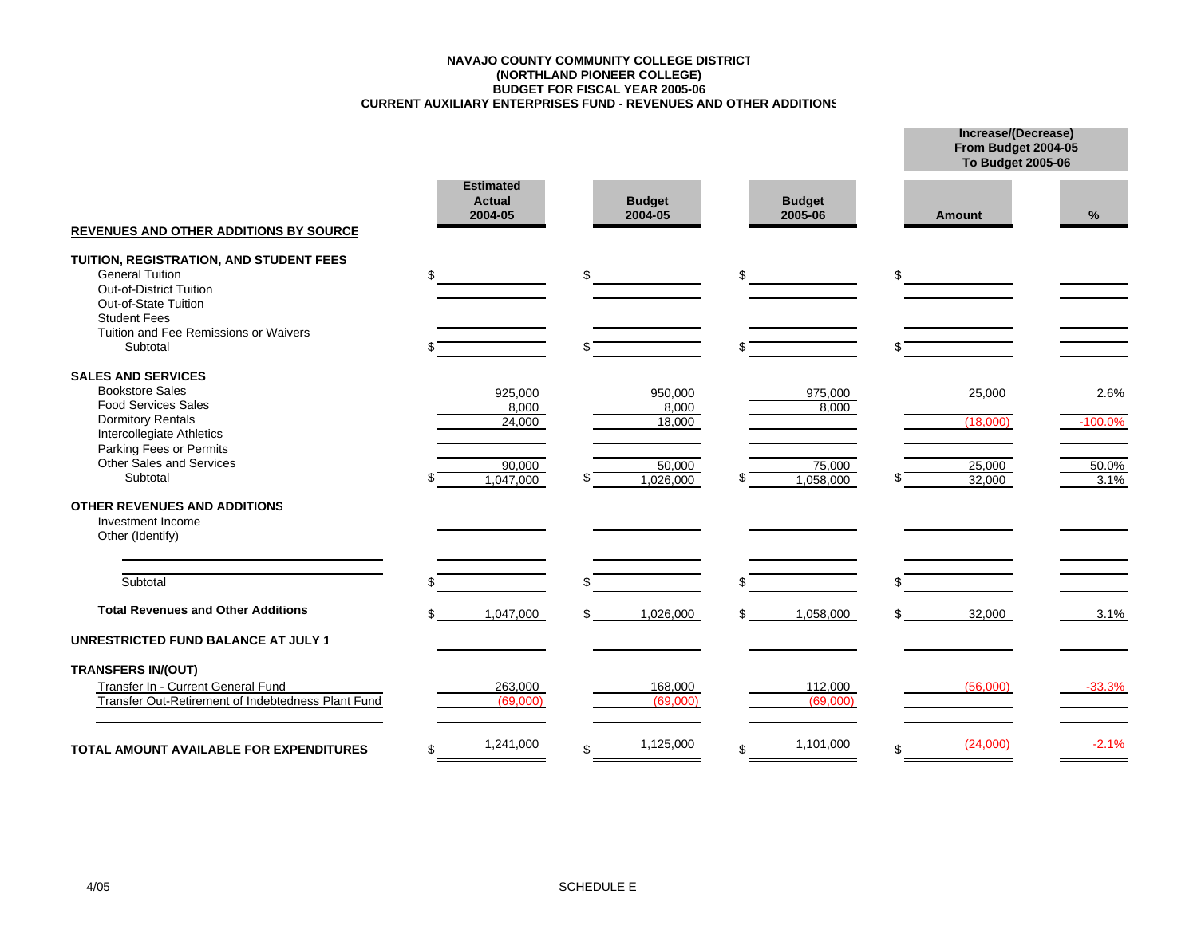#### **CURRENT AUXILIARY ENTERPRISES FUND - REVENUES AND OTHER ADDITIONS BUDGET FOR FISCAL YEAR 2005-06 (NORTHLAND PIONEER COLLEGE) NAVAJO COUNTY COMMUNITY COLLEGE DISTRICT**

|                                                                                                                                                                                                               | <b>Estimated</b><br><b>Budget</b><br><b>Budget</b><br><b>Actual</b><br>2004-05<br>2004-05<br>2005-06 |                                                   |    |                                                   | From Budget 2004-05<br><b>To Budget 2005-06</b> |                                        |                                    |
|---------------------------------------------------------------------------------------------------------------------------------------------------------------------------------------------------------------|------------------------------------------------------------------------------------------------------|---------------------------------------------------|----|---------------------------------------------------|-------------------------------------------------|----------------------------------------|------------------------------------|
| <b>REVENUES AND OTHER ADDITIONS BY SOURCE</b>                                                                                                                                                                 |                                                                                                      |                                                   |    |                                                   |                                                 | Amount                                 | %                                  |
| TUITION, REGISTRATION, AND STUDENT FEES<br><b>General Tuition</b><br>Out-of-District Tuition<br>Out-of-State Tuition<br><b>Student Fees</b><br>Tuition and Fee Remissions or Waivers<br>Subtotal              | \$                                                                                                   |                                                   | \$ |                                                   | \$                                              | \$                                     |                                    |
| <b>SALES AND SERVICES</b><br><b>Bookstore Sales</b><br><b>Food Services Sales</b><br><b>Dormitory Rentals</b><br>Intercollegiate Athletics<br>Parking Fees or Permits<br>Other Sales and Services<br>Subtotal |                                                                                                      | 925,000<br>8,000<br>24,000<br>90,000<br>1,047,000 | ß. | 950,000<br>8,000<br>18,000<br>50,000<br>1,026,000 | 975,000<br>8,000<br>75,000<br>1,058,000         | 25,000<br>(18,000)<br>25,000<br>32,000 | 2.6%<br>$-100.0%$<br>50.0%<br>3.1% |
| <b>OTHER REVENUES AND ADDITIONS</b><br>Investment Income<br>Other (Identify)                                                                                                                                  |                                                                                                      |                                                   |    |                                                   |                                                 |                                        |                                    |
| Subtotal                                                                                                                                                                                                      |                                                                                                      |                                                   | ፍ  |                                                   |                                                 |                                        |                                    |
| <b>Total Revenues and Other Additions</b><br><b>UNRESTRICTED FUND BALANCE AT JULY 1</b>                                                                                                                       |                                                                                                      | 1,047,000                                         | \$ | 1,026,000                                         | \$<br>1,058,000                                 | 32,000                                 | 3.1%                               |
| <b>TRANSFERS IN/(OUT)</b>                                                                                                                                                                                     |                                                                                                      |                                                   |    |                                                   |                                                 |                                        |                                    |
| Transfer In - Current General Fund<br>Transfer Out-Retirement of Indebtedness Plant Fund                                                                                                                      |                                                                                                      | 263,000<br>(69,000)                               |    | 168,000<br>(69,000)                               | 112,000<br>(69,000)                             | (56,000)                               | $-33.3%$                           |
| <b>TOTAL AMOUNT AVAILABLE FOR EXPENDITURES</b>                                                                                                                                                                | \$                                                                                                   | 1,241,000                                         | \$ | 1,125,000                                         | \$<br>1,101,000                                 | \$<br>(24,000)                         | $-2.1%$                            |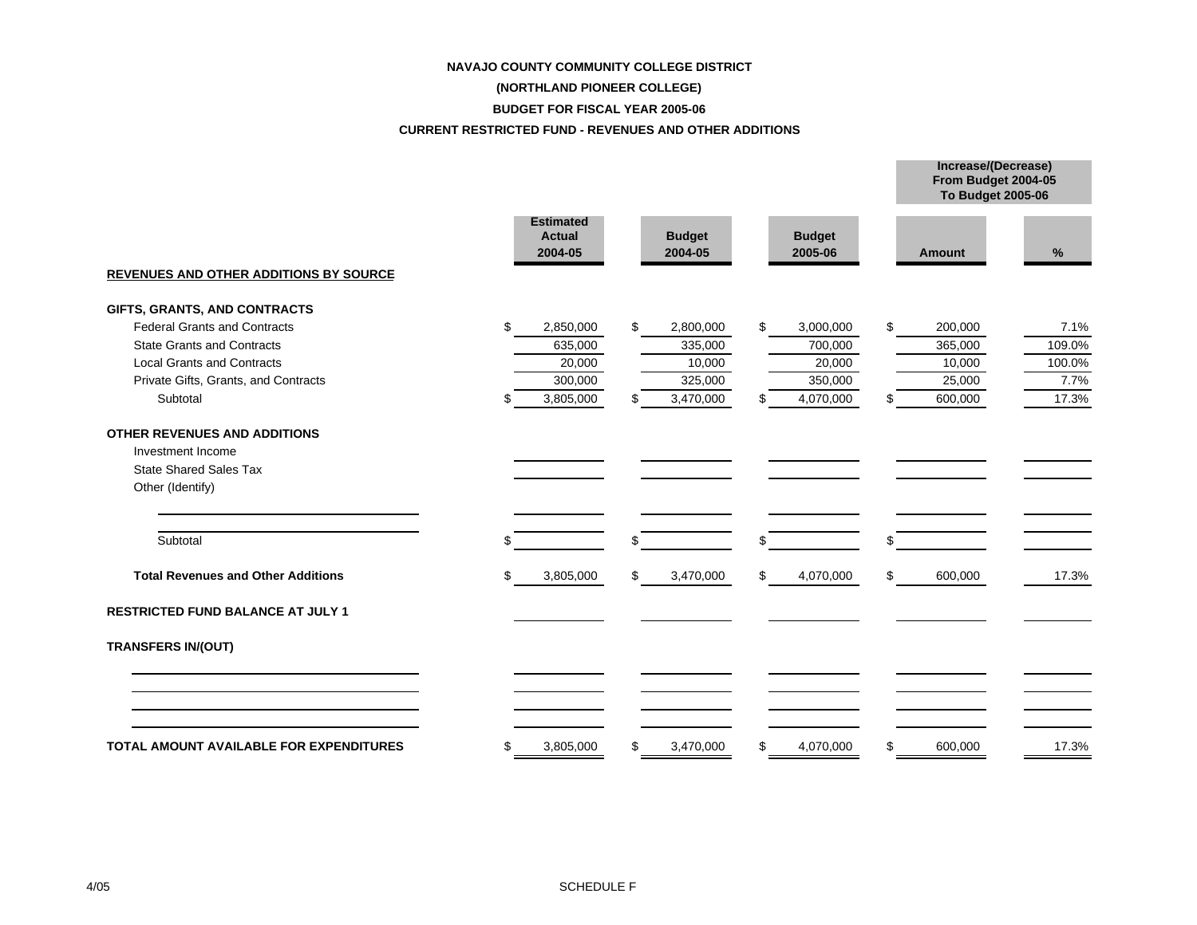# **NAVAJO COUNTY COMMUNITY COLLEGE DISTRICT (NORTHLAND PIONEER COLLEGE) BUDGET FOR FISCAL YEAR 2005-06**

#### **CURRENT RESTRICTED FUND - REVENUES AND OTHER ADDITIONS**

|                                                                                                               |    |                                              |    |                          |    |                          |    | From Budget 2004-05<br>To Budget 2005-06 |        |  |
|---------------------------------------------------------------------------------------------------------------|----|----------------------------------------------|----|--------------------------|----|--------------------------|----|------------------------------------------|--------|--|
| <b>REVENUES AND OTHER ADDITIONS BY SOURCE</b>                                                                 |    | <b>Estimated</b><br><b>Actual</b><br>2004-05 |    | <b>Budget</b><br>2004-05 |    | <b>Budget</b><br>2005-06 |    | Amount                                   | %      |  |
| GIFTS, GRANTS, AND CONTRACTS                                                                                  |    |                                              |    |                          |    |                          |    |                                          |        |  |
| <b>Federal Grants and Contracts</b>                                                                           | \$ | 2,850,000                                    | \$ | 2,800,000                | \$ | 3,000,000                | \$ | 200,000                                  | 7.1%   |  |
| <b>State Grants and Contracts</b>                                                                             |    | 635,000                                      |    | 335,000                  |    | 700,000                  |    | 365,000                                  | 109.0% |  |
| <b>Local Grants and Contracts</b>                                                                             |    | 20,000                                       |    | 10,000                   |    | 20,000                   |    | 10,000                                   | 100.0% |  |
| Private Gifts, Grants, and Contracts                                                                          |    | 300,000                                      |    | 325,000                  |    | 350,000                  |    | 25,000                                   | 7.7%   |  |
| Subtotal                                                                                                      | ß. | 3,805,000                                    | \$ | $\overline{3,}470,000$   | \$ | 4,070,000                | \$ | 600,000                                  | 17.3%  |  |
| <b>OTHER REVENUES AND ADDITIONS</b><br>Investment Income<br><b>State Shared Sales Tax</b><br>Other (Identify) |    |                                              |    |                          |    |                          |    |                                          |        |  |
| Subtotal                                                                                                      |    |                                              | \$ |                          | \$ |                          | \$ |                                          |        |  |
| <b>Total Revenues and Other Additions</b>                                                                     | \$ | 3,805,000                                    | \$ | 3,470,000                | \$ | 4,070,000                | \$ | 600,000                                  | 17.3%  |  |
| <b>RESTRICTED FUND BALANCE AT JULY 1</b>                                                                      |    |                                              |    |                          |    |                          |    |                                          |        |  |
| <b>TRANSFERS IN/(OUT)</b>                                                                                     |    |                                              |    |                          |    |                          |    |                                          |        |  |
| TOTAL AMOUNT AVAILABLE FOR EXPENDITURES                                                                       | \$ | 3,805,000                                    | \$ | 3,470,000                | \$ | 4,070,000                | \$ | 600,000                                  | 17.3%  |  |